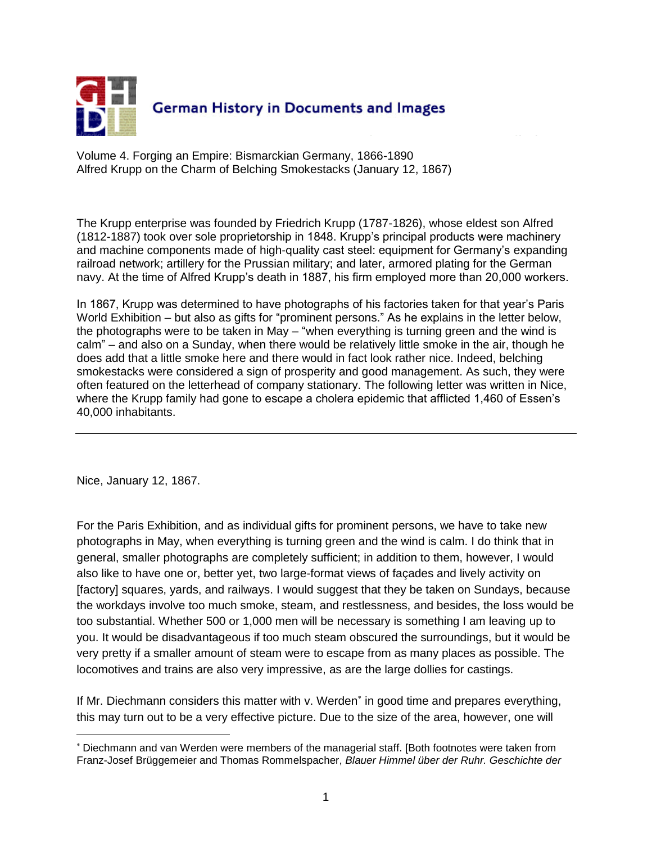

Volume 4. Forging an Empire: Bismarckian Germany, 1866-1890 Alfred Krupp on the Charm of Belching Smokestacks (January 12, 1867)

The Krupp enterprise was founded by Friedrich Krupp (1787-1826), whose eldest son Alfred (1812-1887) took over sole proprietorship in 1848. Krupp's principal products were machinery and machine components made of high-quality cast steel: equipment for Germany's expanding railroad network; artillery for the Prussian military; and later, armored plating for the German navy. At the time of Alfred Krupp's death in 1887, his firm employed more than 20,000 workers.

In 1867, Krupp was determined to have photographs of his factories taken for that year's Paris World Exhibition – but also as gifts for "prominent persons." As he explains in the letter below, the photographs were to be taken in May – "when everything is turning green and the wind is calm" – and also on a Sunday, when there would be relatively little smoke in the air, though he does add that a little smoke here and there would in fact look rather nice. Indeed, belching smokestacks were considered a sign of prosperity and good management. As such, they were often featured on the letterhead of company stationary. The following letter was written in Nice, where the Krupp family had gone to escape a cholera epidemic that afflicted 1,460 of Essen's 40,000 inhabitants.

Nice, January 12, 1867.

 $\overline{a}$ 

For the Paris Exhibition, and as individual gifts for prominent persons, we have to take new photographs in May, when everything is turning green and the wind is calm. I do think that in general, smaller photographs are completely sufficient; in addition to them, however, I would also like to have one or, better yet, two large-format views of façades and lively activity on [factory] squares, yards, and railways. I would suggest that they be taken on Sundays, because the workdays involve too much smoke, steam, and restlessness, and besides, the loss would be too substantial. Whether 500 or 1,000 men will be necessary is something I am leaving up to you. It would be disadvantageous if too much steam obscured the surroundings, but it would be very pretty if a smaller amount of steam were to escape from as many places as possible. The locomotives and trains are also very impressive, as are the large dollies for castings.

If Mr. Diechmann considers this matter with v. Werden<sup>\*</sup> in good time and prepares everything, this may turn out to be a very effective picture. Due to the size of the area, however, one will

Diechmann and van Werden were members of the managerial staff. [Both footnotes were taken from Franz-Josef Brüggemeier and Thomas Rommelspacher, *Blauer Himmel über der Ruhr. Geschichte der*